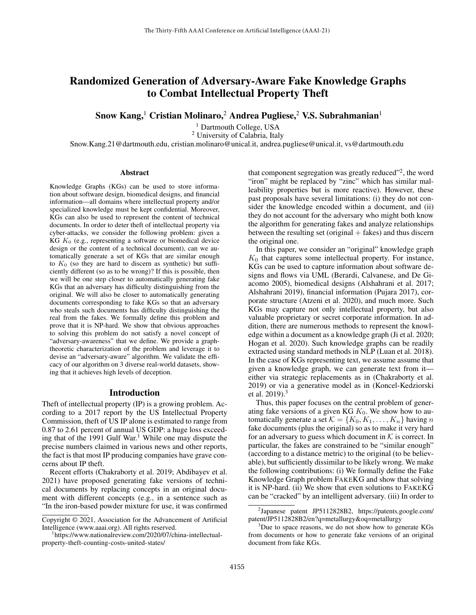# Randomized Generation of Adversary-Aware Fake Knowledge Graphs to Combat Intellectual Property Theft

Snow Kang,<sup>1</sup> Cristian Molinaro,<sup>2</sup> Andrea Pugliese,<sup>2</sup> V.S. Subrahmanian<sup>1</sup>

<sup>1</sup> Dartmouth College, USA

<sup>2</sup> University of Calabria, Italy

Snow.Kang.21@dartmouth.edu, cristian.molinaro@unical.it, andrea.pugliese@unical.it, vs@dartmouth.edu

# Abstract

Knowledge Graphs (KGs) can be used to store information about software design, biomedical designs, and financial information—all domains where intellectual property and/or specialized knowledge must be kept confidential. Moreover, KGs can also be used to represent the content of technical documents. In order to deter theft of intellectual property via cyber-attacks, we consider the following problem: given a KG  $K_0$  (e.g., representing a software or biomedical device design or the content of a technical document), can we automatically generate a set of KGs that are similar enough to  $K_0$  (so they are hard to discern as synthetic) but sufficiently different (so as to be wrong)? If this is possible, then we will be one step closer to automatically generating fake KGs that an adversary has difficulty distinguishing from the original. We will also be closer to automatically generating documents corresponding to fake KGs so that an adversary who steals such documents has difficulty distinguishing the real from the fakes. We formally define this problem and prove that it is NP-hard. We show that obvious approaches to solving this problem do not satisfy a novel concept of "adversary-awareness" that we define. We provide a graphtheoretic characterization of the problem and leverage it to devise an "adversary-aware" algorithm. We validate the efficacy of our algorithm on 3 diverse real-world datasets, showing that it achieves high levels of deception.

# Introduction

Theft of intellectual property (IP) is a growing problem. According to a 2017 report by the US Intellectual Property Commission, theft of US IP alone is estimated to range from 0.87 to 2.61 percent of annual US GDP: a huge loss exceeding that of the 1991 Gulf War.<sup>1</sup> While one may dispute the precise numbers claimed in various news and other reports, the fact is that most IP producing companies have grave concerns about IP theft.

Recent efforts (Chakraborty et al. 2019; Abdibayev et al. 2021) have proposed generating fake versions of technical documents by replacing concepts in an original document with different concepts (e.g., in a sentence such as "In the iron-based powder mixture for use, it was confirmed

Copyright © 2021, Association for the Advancement of Artificial Intelligence (www.aaai.org). All rights reserved.

that component segregation was greatly reduced"<sup>2</sup>, the word "iron" might be replaced by "zinc" which has similar malleability properties but is more reactive). However, these past proposals have several limitations: (i) they do not consider the knowledge encoded within a document, and (ii) they do not account for the adversary who might both know the algorithm for generating fakes and analyze relationships between the resulting set (original  $+$  fakes) and thus discern the original one.

In this paper, we consider an "original" knowledge graph  $K_0$  that captures some intellectual property. For instance, KGs can be used to capture information about software designs and flows via UML (Berardi, Calvanese, and De Giacomo 2005), biomedical designs (Alshahrani et al. 2017; Alshahrani 2019), financial information (Pujara 2017), corporate structure (Atzeni et al. 2020), and much more. Such KGs may capture not only intellectual property, but also valuable proprietary or secret corporate information. In addition, there are numerous methods to represent the knowledge within a document as a knowledge graph (Ji et al. 2020; Hogan et al. 2020). Such knowledge graphs can be readily extracted using standard methods in NLP (Luan et al. 2018). In the case of KGs representing text, we assume assume that given a knowledge graph, we can generate text from it either via strategic replacements as in (Chakraborty et al. 2019) or via a generative model as in (Koncel-Kedziorski et al. 2019).<sup>3</sup>

Thus, this paper focuses on the central problem of generating fake versions of a given KG  $K_0$ . We show how to automatically generate a set  $\mathcal{K} = \{K_0, K_1, \ldots, K_n\}$  having n fake documents (plus the original) so as to make it very hard for an adversary to guess which document in  $K$  is correct. In particular, the fakes are constrained to be "similar enough" (according to a distance metric) to the original (to be believable), but sufficiently dissimilar to be likely wrong. We make the following contributions: (i) We formally define the Fake Knowledge Graph problem FAKEKG and show that solving it is NP-hard. (ii) We show that even solutions to FAKEKG can be "cracked" by an intelligent adversary. (iii) In order to

<sup>1</sup> https://www.nationalreview.com/2020/07/china-intellectualproperty-theft-counting-costs-united-states/

<sup>2</sup> Japanese patent JP5112828B2, https://patents.google.com/ patent/JP5112828B2/en?q=metallurgy&oq=metallurgy

 $3$ Due to space reasons, we do not show how to generate KGs from documents or how to generate fake versions of an original document from fake KGs.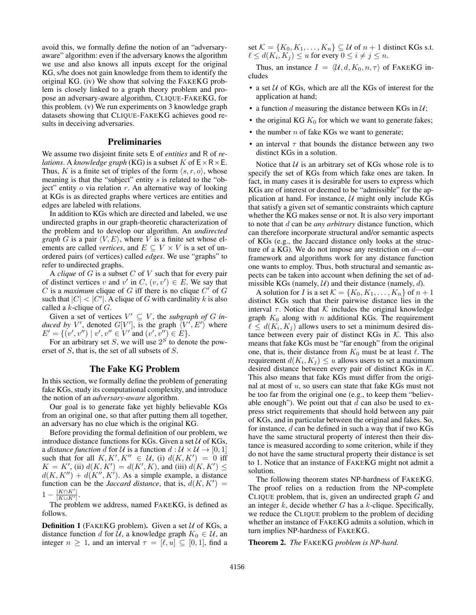avoid this, we formally define the notion of an "adversaryaware" algorithm: even if the adversary knows the algorithm we use and also knows all inputs except for the original KG, s/he does not gain knowledge from them to identify the original KG. (iv) We show that solving the FAKEKG problem is closely linked to a graph theory problem and propose an adversary-aware algorithm, CLIQUE-FAKEKG, for this problem. (v) We run experiments on 3 knowledge graph datasets showing that CLIQUE-FAKEKG achieves good results in deceiving adversaries.

# **Preliminaries**

We assume two disjoint finite sets E of *entities* and R of *relations*. A *knowledge graph* (KG) is a subset K of  $E \times R \times E$ . Thus, K is a finite set of triples of the form  $\langle s, r, o \rangle$ , whose meaning is that the "subject" entity s is related to the "object" entity  $o$  via relation  $r$ . An alternative way of looking at KGs is as directed graphs where vertices are entities and edges are labeled with relations.

In addition to KGs which are directed and labeled, we use undirected graphs in our graph-theoretic characterization of the problem and to develop our algorithm. An *undirected graph* G is a pair  $\langle V, E \rangle$ , where V is a finite set whose elements are called *vertices*, and  $E \subseteq V \times V$  is a set of unordered pairs (of vertices) called *edges*. We use "graphs" to refer to undirected graphs.

A *clique* of G is a subset C of V such that for every pair of distinct vertices v and v' in C,  $(v, v') \in E$ . We say that C is a *maximum* clique of G iff there is no clique  $C'$  of G such that  $|C| < |C'|$ . A clique of G with cardinality k is also called a  $k$ -clique of  $G$ .

Given a set of vertices  $V' \subseteq V$ , the *subgraph of G induced by V'*, denoted  $G[V']$ , is the graph  $\langle V', E' \rangle$  where  $E' = \{ (v', v'') \mid v', v'' \in V' \text{ and } (v', v'') \in E \}.$ 

For an arbitrary set S, we will use  $2<sup>S</sup>$  to denote the powerset of S, that is, the set of all subsets of S.

# The Fake KG Problem

In this section, we formally define the problem of generating fake KGs, study its computational complexity, and introduce the notion of an *adversary-aware* algorithm.

Our goal is to generate fake yet highly believable KGs from an original one, so that after putting them all together, an adversary has no clue which is the original KG.

Before providing the formal definition of our problem, we introduce distance functions for KGs. Given a set  $U$  of KGs, a *distance function* d for U is a function  $d : U \times U \rightarrow [0, 1]$ such that for all  $K, K', K'' \in \mathcal{U}$ , (i)  $d(K, K') = 0$  iff  $K = K'$ , (ii)  $d(K, K') = d(K', K)$ , and (iii)  $d(K, K') \leq$  $d(K, K'') + d(K'', K')$ . As a simple example, a distance function can be the *Jaccard distance*, that is,  $d(K, K') =$  $1 |K \cap K'|$  $|K \cup K'|$ .

The problem we address, named FAKEKG, is defined as follows.

**Definition 1** (FAKEKG problem). Given a set  $U$  of KGs, a distance function d for U, a knowledge graph  $K_0 \in U$ , an integer  $n \geq 1$ , and an interval  $\tau = [\ell, u] \subseteq [0, 1]$ , find a set  $\mathcal{K} = \{K_0, K_1, \ldots, K_n\} \subseteq \mathcal{U}$  of  $n + 1$  distinct KGs s.t.  $\ell \leq d(K_i, K_j) \leq u$  for every  $0 \leq i \neq j \leq n$ .

Thus, an instance  $I = \langle U, d, K_0, n, \tau \rangle$  of FAKEKG includes

- a set  $U$  of KGs, which are all the KGs of interest for the application at hand;
- a function d measuring the distance between KGs in  $U$ ;
- the original KG  $K_0$  for which we want to generate fakes;
- the number  $n$  of fake KGs we want to generate;
- an interval  $\tau$  that bounds the distance between any two distinct KGs in a solution.

Notice that  $U$  is an arbitrary set of KGs whose role is to specify the set of KGs from which fake ones are taken. In fact, in many cases it is desirable for users to express which KGs are of interest or deemed to be "admissible" for the application at hand. For instance,  $U$  might only include KGs that satisfy a given set of semantic constraints which capture whether the KG makes sense or not. It is also very important to note that d can be *any arbitrary* distance function, which can therefore incorporate structural and/or semantic aspects of KGs (e.g., the Jaccard distance only looks at the structure of a KG). We do not impose any restriction on  $d$ —our framework and algorithms work for any distance function one wants to employ. Thus, both structural and semantic aspects can be taken into account when defining the set of admissible KGs (namely,  $U$ ) and their distance (namely, d).

A solution for I is a set  $\mathcal{K} = \{K_0, K_1, \ldots, K_n\}$  of  $n+1$ distinct KGs such that their pairwise distance lies in the interval  $\tau$ . Notice that K includes the original knowledge graph  $K_0$  along with n additional KGs. The requirement  $\ell \leq d(K_i, K_j)$  allows users to set a minimum desired distance between every pair of distinct KGs in  $K$ . This also means that fake KGs must be "far enough" from the original one, that is, their distance from  $K_0$  must be at least  $\ell$ . The requirement  $d(K_i, K_j) \leq u$  allows users to set a maximum desired distance between every pair of distinct KGs in  $K$ . This also means that fake KGs must differ from the original at most of  $u$ , so users can state that fake KGs must not be too far from the original one (e.g., to keep them "believable enough"). We point out that  $d$  can also be used to express strict requirements that should hold between any pair of KGs, and in particular between the original and fakes. So, for instance, d can be defined in such a way that if two KGs have the same structural property of interest then their distance is measured according to some criterion, while if they do not have the same structural property their distance is set to 1. Notice that an instance of FAKEKG might not admit a solution.

The following theorem states NP-hardness of FAKEKG. The proof relies on a reduction from the NP-complete CLIQUE problem, that is, given an undirected graph  $G$  and an integer  $k$ , decide whether  $G$  has a  $k$ -clique. Specifically, we reduce the CLIQUE problem to the problem of deciding whether an instance of FAKEKG admits a solution, which in turn implies NP-hardness of FAKEKG.

Theorem 2. *The* FAKEKG *problem is NP-hard.*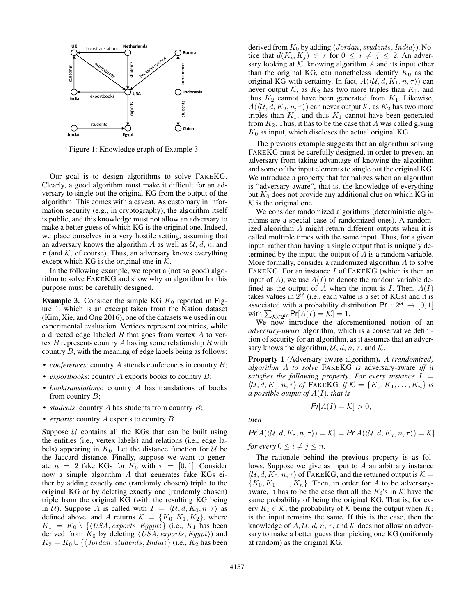

Figure 1: Knowledge graph of Example 3.

Our goal is to design algorithms to solve FAKEKG. Clearly, a good algorithm must make it difficult for an adversary to single out the original KG from the output of the algorithm. This comes with a caveat. As customary in information security (e.g., in cryptography), the algorithm itself is public, and this knowledge must not allow an adversary to make a better guess of which KG is the original one. Indeed, we place ourselves in a very hostile setting, assuming that an adversary knows the algorithm A as well as  $U, d, n$ , and  $\tau$  (and K, of course). Thus, an adversary knows everything except which KG is the original one in  $K$ .

In the following example, we report a (not so good) algorithm to solve FAKEKG and show why an algorithm for this purpose must be carefully designed.

**Example 3.** Consider the simple KG  $K_0$  reported in Figure 1, which is an excerpt taken from the Nation dataset (Kim, Xie, and Ong 2016), one of the datasets we used in our experimental evaluation. Vertices represent countries, while a directed edge labeled  $R$  that goes from vertex  $A$  to vertex  $B$  represents country  $A$  having some relationship  $R$  with country B, with the meaning of edge labels being as follows:

- *conferences*: country A attends conferences in country B;
- *exportbooks*: country A exports books to country B;
- *booktranslations*: country A has translations of books from country  $B$ ;
- *students*: country A has students from country B;
- *exports*: country A exports to country B.

Suppose  $U$  contains all the KGs that can be built using the entities (i.e., vertex labels) and relations (i.e., edge labels) appearing in  $K_0$ . Let the distance function for  $U$  be the Jaccard distance. Finally, suppose we want to generate  $n = 2$  fake KGs for  $K_0$  with  $\tau = [0, 1]$ . Consider now a simple algorithm A that generates fake KGs either by adding exactly one (randomly chosen) triple to the original KG or by deleting exactly one (randomly chosen) triple from the original KG (with the resulting KG being in U). Suppose A is called with  $I = \langle U, d, K_0, n, \tau \rangle$  as defined above, and A returns  $\mathcal{K} = \{K_0, K_1, K_2\}$ , where  $K_1 = K_0 \setminus \{ \langle USA, exports, Egypt \rangle \}$  (i.e.,  $K_1$  has been derived from  $K_0$  by deleting  $\langle USA, exports, Egypt \rangle$  and  $K_2 = K_0 \cup \{\langle Jordan, students,India\rangle\}$  (i.e.,  $K_2$  has been

derived from  $K_0$  by adding  $\langle Jordan, students,India \rangle$ ). Notice that  $d(K_i, K_j) \in \tau$  for  $0 \leq i \neq j \leq 2$ . An adversary looking at  $K$ , knowing algorithm  $A$  and its input other than the original KG, can nonetheless identify  $K_0$  as the original KG with certainty. In fact,  $A(\langle \mathcal{U}, d, K_1, n, \tau \rangle)$  can never output K, as  $K_2$  has two more triples than  $K_1$ , and thus  $K_2$  cannot have been generated from  $K_1$ . Likewise,  $A(\langle \mathcal{U}, d, K_2, n, \tau \rangle)$  can never output K, as  $K_2$  has two more triples than  $K_1$ , and thus  $K_1$  cannot have been generated from  $K_2$ . Thus, it has to be the case that A was called giving  $K_0$  as input, which discloses the actual original KG.

The previous example suggests that an algorithm solving FAKEKG must be carefully designed, in order to prevent an adversary from taking advantage of knowing the algorithm and some of the input elements to single out the original KG. We introduce a property that formalizes when an algorithm is "adversary-aware", that is, the knowledge of everything but  $K_0$  does not provide any additional clue on which KG in  $K$  is the original one.

We consider randomized algorithms (deterministic algorithms are a special case of randomized ones). A randomized algorithm A might return different outputs when it is called multiple times with the same input. Thus, for a given input, rather than having a single output that is uniquely determined by the input, the output of  $A$  is a random variable. More formally, consider a randomized algorithm A to solve FAKEKG. For an instance I of FAKEKG (which is then an input of A), we use  $A(I)$  to denote the random variable defined as the output of A when the input is I. Then,  $A(I)$ takes values in  $2^{\mathcal{U}}$  (i.e., each value is a set of KGs) and it is associated with a probability distribution Pr :  $2^{\mathcal{U}} \rightarrow [0, 1]$ with  $\sum_{\mathcal{K}\in 2^{\mathcal{U}}} \Pr[A(I) = \mathcal{K}] = 1.$ 

We now introduce the aforementioned notion of an *adversary-aware* algorithm, which is a conservative definition of security for an algorithm, as it assumes that an adversary knows the algorithm,  $\mathcal{U}, d, n, \tau$ , and  $\mathcal{K}$ .

Property 1 (Adversary-aware algorithm). *A (randomized) algorithm* A *to solve* FAKEKG *is* adversary-aware *iff it satisfies the following property: For every instance* I =  $\langle \mathcal{U}, d, K_0, n, \tau \rangle$  of FAKEKG, if  $\mathcal{K} = \{K_0, K_1, \ldots, K_n\}$  is *a possible output of* A(I)*, that is*

 $Pr[A(I) = K] > 0,$ 

*then*

$$
Pr[A(\langle U, d, K_i, n, \tau \rangle) = \mathcal{K}] = Pr[A(\langle U, d, K_j, n, \tau \rangle) = \mathcal{K}]
$$
  
for every  $0 \le i \ne j \le n$ .

The rationale behind the previous property is as follows. Suppose we give as input to A an arbitrary instance  $\langle \mathcal{U}, d, K_0, n, \tau \rangle$  of FAKEKG, and the returned output is  $\mathcal{K} =$  ${K_0, K_1, \ldots, K_n}$ . Then, in order for A to be adversaryaware, it has to be the case that all the  $K_i$ 's in K have the same probability of being the original KG. That is, for every  $K_i \in \mathcal{K}$ , the probability of  $\mathcal{K}$  being the output when  $K_i$ is the input remains the same. If this is the case, then the knowledge of  $A, U, d, n, \tau$ , and K does not allow an adversary to make a better guess than picking one KG (uniformly at random) as the original KG.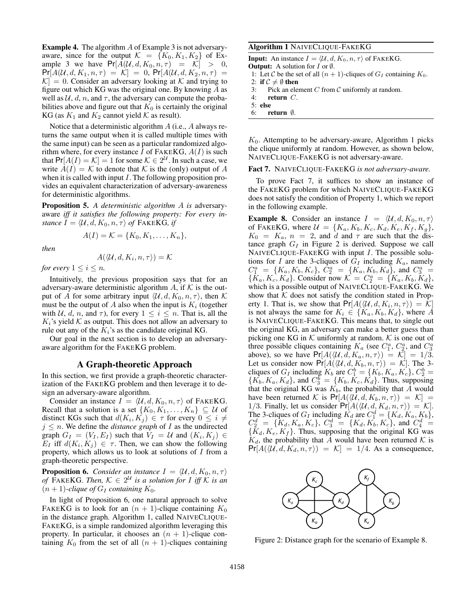Example 4. The algorithm A of Example 3 is not adversaryaware, since for the output  $\mathcal{K} = \{K_0, K_1, K_2\}$  of Example 3 we have  $Pr[A(\mathcal{U}, d, K_0, n, \tau)] = \mathcal{K}] > 0$ ,  $Pr[A(\mathcal{U}, d, K_1, n, \tau)] = \mathcal{K}] = 0$ ,  $Pr[A(\mathcal{U}, d, K_2, n, \tau)] =$  $|\mathcal{K}| = 0$ . Consider an adversary looking at K and trying to figure out which KG was the original one. By knowing  $A$  as well as  $U, d, n$ , and  $\tau$ , the adversary can compute the probabilities above and figure out that  $K_0$  is certainly the original KG (as  $K_1$  and  $K_2$  cannot yield  $K$  as result).

Notice that a deterministic algorithm A (i.e., A always returns the same output when it is called multiple times with the same input) can be seen as a particular randomized algorithm where, for every instance I of FAKEKG,  $A(I)$  is such that  $Pr[A(I) = K] = 1$  for some  $K \in 2^U$ . In such a case, we write  $A(I) = K$  to denote that K is the (only) output of A when it is called with input I. The following proposition provides an equivalent characterization of adversary-awareness for deterministic algorithms.

Proposition 5. *A deterministic algorithm* A *is* adversaryaware *iff it satisfies the following property: For every instance*  $I = \langle U, d, K_0, n, \tau \rangle$  *of* FAKEKG*, if* 

*then*

$$
A(I) = \mathcal{K} = \{K_0, K_1, \ldots, K_n\},\
$$

$$
A(\langle \mathcal{U},d,K_i,n,\tau \rangle) = \mathcal{K}
$$

*for every*  $1 \leq i \leq n$ *.* 

Intuitively, the previous proposition says that for an adversary-aware deterministic algorithm A, if  $K$  is the output of A for some arbitrary input  $\langle U, d, K_0, n, \tau \rangle$ , then K must be the output of A also when the input is  $K_i$  (together with U, d, n, and  $\tau$ ), for every  $1 \leq i \leq n$ . That is, all the  $K_i$ 's yield K as output. This does not allow an adversary to rule out any of the  $K_i$ 's as the candidate original KG.

Our goal in the next section is to develop an adversaryaware algorithm for the FAKEKG problem.

# A Graph-theoretic Approach

In this section, we first provide a graph-theoretic characterization of the FAKEKG problem and then leverage it to design an adversary-aware algorithm.

Consider an instance  $I = \langle U, d, K_0, n, \tau \rangle$  of FAKEKG. Recall that a solution is a set  $\{K_0, K_1, \ldots, K_n\} \subseteq \mathcal{U}$  of distinct KGs such that  $d(K_i, K_j) \in \tau$  for every  $0 \leq i \neq j$  $j \leq n$ . We define the *distance graph* of *I* as the undirected graph  $G_I = (V_I, E_I)$  such that  $V_I = U$  and  $(K_i, K_j) \in$  $E_I$  iff  $d(K_i, K_j) \in \tau$ . Then, we can show the following property, which allows us to look at solutions of  $I$  from a graph-theoretic perspective.

**Proposition 6.** *Consider an instance*  $I = \langle \mathcal{U}, d, K_0, n, \tau \rangle$ *of*  $\widehat{FAKEKG}$ . Then,  $K \in 2^{\mathcal{U}}$  *is a solution for* I *iff* K *is an*  $(n + 1)$ -*clique of*  $G_I$  *containing*  $K_0$ *.* 

In light of Proposition 6, one natural approach to solve FAKEKG is to look for an  $(n + 1)$ -clique containing  $K_0$ in the distance graph. Algorithm 1, called NAIVECLIQUE-FAKEKG, is a simple randomized algorithm leveraging this property. In particular, it chooses an  $(n + 1)$ -clique containing  $K_0$  from the set of all  $(n + 1)$ -cliques containing

# Algorithm 1 NAIVECLIQUE-FAKEKG

**Input:** An instance  $I = \langle U, d, K_0, n, \tau \rangle$  of FAKEKG. **Output:** A solution for  $I$  or  $\emptyset$ . 1: Let C be the set of all  $(n + 1)$ -cliques of  $G_I$  containing  $K_0$ . 2: if  $C \neq \emptyset$  then

3: Pick an element  $C$  from  $C$  uniformly at random.

- 4: return C.
- 5: else
- 6: return  $\emptyset$ .

 $K_0$ . Attempting to be adversary-aware, Algorithm 1 picks the clique uniformly at random. However, as shown below, NAIVECLIQUE-FAKEKG is not adversary-aware.

Fact 7. NAIVECLIQUE-FAKEKG *is not adversary-aware.*

To prove Fact 7, it suffices to show an instance of the FAKEKG problem for which NAIVECLIQUE-FAKEKG does not satisfy the condition of Property 1, which we report in the following example.

**Example 8.** Consider an instance  $I = \langle U, d, K_0, n, \tau \rangle$ of FAKEKG, where  $\mathcal{U} = \{K_a, K_b, K_c, K_d, K_e, K_f, K_g\},\$  $K_0 = K_a$ ,  $n = 2$ , and d and  $\tau$  are such that the distance graph  $G_I$  in Figure 2 is derived. Suppose we call NAIVECLIQUE-FAKEKG with input I. The possible solutions for I are the 3-cliques of  $G_I$  including  $K_a$ , namely  $C_1^a = \{K_a, K_b, K_c\}, \ C_2^a = \{K_a, K_b, K_d\}, \$ and  $C_3^a =$  $\{\tilde{K}_a, K_c, K_d\}$ . Consider now  $\mathcal{K} = C_2^a = \{K_a, K_b, K_d\}$ , which is a possible output of NAIVECLIQUE-FAKEKG. We show that  $K$  does not satisfy the condition stated in Property 1. That is, we show that  $Pr[A(\langle U, d, K_i, n, \tau \rangle) = \mathcal{K}]$ is not always the same for  $K_i \in \{K_a, K_b, K_d\}$ , where A is NAIVECLIQUE-FAKEKG. This means that, to single out the original KG, an adversary can make a better guess than picking one KG in  $K$  uniformly at random. K is one out of three possible cliques containing  $K_a$  (see  $C_1^a$ ,  $C_2^a$ , and  $C_3^a$ ) above), so we have  $Pr[A(\langle U, d, K_a, n, \tau \rangle) = \overline{\mathcal{K}}] = 1/\overline{3}.$ Let us consider now  $Pr[A(\langle U, d, K_b, n, \tau \rangle) = \mathcal{K}]$ . The 3cliques of  $G_I$  including  $K_b$  are  $C_1^b = \{K_b, K_a, K_c\}$ ,  $C_2^b =$  $\{\overline{K_b}, K_a, K_d\}$ , and  $C_3^b = \{K_b, \overline{K_c}, \overline{K_d}\}$ . Thus, supposing that the original KG was  $K_b$ , the probability that A would have been returned K is  $Pr[A(\langle U, d, K_b, n, \tau \rangle) = K] =$ 1/3. Finally, let us consider  $Pr[A(\langle U, d, K_d, n, \tau \rangle) = \mathcal{K}]$ . The 3-cliques of  $G_I$  including  $K_d$  are  $C_1^d = \{K_d, K_a, K_b\}$ ,  $C_2^d = \{K_d, K_a, K_c\}, C_3^d = \{K_d, K_b, K_c\}, \text{ and } C_4^d =$  ${K_d, K_e, K_f}$ . Thus, supposing that the original KG was  $K_d$ , the probability that A would have been returned K is  $Pr[A(\langle U, d, K_d, n, \tau \rangle) = \mathcal{K}] = 1/4$ . As a consequence,



Figure 2: Distance graph for the scenario of Example 8.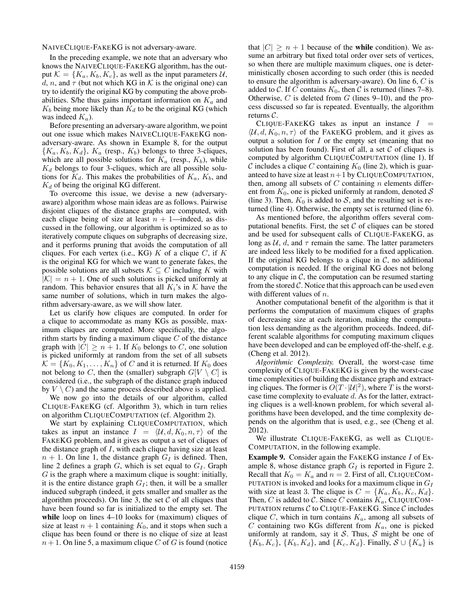NAIVECLIQUE-FAKEKG is not adversary-aware.

In the preceding example, we note that an adversary who knows the NAIVECLIQUE-FAKEKG algorithm, has the output  $\mathcal{K} = \{K_a, K_b, K_c\}$ , as well as the input parameters  $\mathcal{U}$ , d, n, and  $\tau$  (but not which KG in K is the original one) can try to identify the original KG by computing the above probabilities. S/he thus gains important information on  $K_a$  and  $K_b$  being more likely than  $K_d$  to be the original KG (which was indeed  $K_a$ ).

Before presenting an adversary-aware algorithm, we point out one issue which makes NAIVECLIQUE-FAKEKG nonadversary-aware. As shown in Example 8, for the output  ${K_a, K_b, K_d}, K_a$  (resp.,  $K_b$ ) belongs to three 3-cliques, which are all possible solutions for  $K_a$  (resp.,  $K_b$ ), while  $K_d$  belongs to four 3-cliques, which are all possible solutions for  $K_d$ . This makes the probabilities of  $K_a$ ,  $K_b$ , and  $K_d$  of being the original KG different.

To overcome this issue, we devise a new (adversaryaware) algorithm whose main ideas are as follows. Pairwise disjoint cliques of the distance graphs are computed, with each clique being of size at least  $n + 1$ —indeed, as discussed in the following, our algorithm is optimized so as to iteratively compute cliques on subgraphs of decreasing size, and it performs pruning that avoids the computation of all cliques. For each vertex (i.e., KG)  $K$  of a clique  $C$ , if  $K$ is the original KG for which we want to generate fakes, the possible solutions are all subsets  $\mathcal{K} \subseteq C$  including K with  $|K| = n + 1$ . One of such solutions is picked uniformly at random. This behavior ensures that all  $K_i$ 's in  $K$  have the same number of solutions, which in turn makes the algorithm adversary-aware, as we will show later.

Let us clarify how cliques are computed. In order for a clique to accommodate as many KGs as possible, maximum cliques are computed. More specifically, the algorithm starts by finding a maximum clique  $C$  of the distance graph with  $|C| \ge n + 1$ . If  $K_0$  belongs to C, one solution is picked uniformly at random from the set of all subsets  $\mathcal{K} = \{K_0, K_1, \ldots, K_n\}$  of C and it is returned. If  $K_0$  does not belong to C, then the (smaller) subgraph  $G[V \setminus C]$  is considered (i.e., the subgraph of the distance graph induced by  $V \setminus C$  and the same process described above is applied.

We now go into the details of our algorithm, called CLIQUE-FAKEKG (cf. Algorithm 3), which in turn relies on algorithm CLIQUECOMPUTATION (cf. Algorithm 2).

We start by explaining CLIQUECOMPUTATION, which takes as input an instance  $I = \langle U, d, K_0, n, \tau \rangle$  of the FAKEKG problem, and it gives as output a set of cliques of the distance graph of  $I$ , with each clique having size at least  $n + 1$ . On line 1, the distance graph  $G_I$  is defined. Then, line 2 defines a graph  $G$ , which is set equal to  $G_I$ . Graph  $G$  is the graph where a maximum clique is sought: initially, it is the entire distance graph  $G_I$ ; then, it will be a smaller induced subgraph (indeed, it gets smaller and smaller as the algorithm proceeds). On line 3, the set  $C$  of all cliques that have been found so far is initialized to the empty set. The while loop on lines 4–10 looks for (maximum) cliques of size at least  $n + 1$  containing  $K_0$ , and it stops when such a clique has been found or there is no clique of size at least  $n + 1$ . On line 5, a maximum clique C of G is found (notice

that  $|C| \geq n + 1$  because of the while condition). We assume an arbitrary but fixed total order over sets of vertices, so when there are multiple maximum cliques, one is deterministically chosen according to such order (this is needed to ensure the algorithm is adversary-aware). On line  $6, C$  is added to C. If C contains  $K_0$ , then C is returned (lines 7–8). Otherwise,  $C$  is deleted from  $G$  (lines 9–10), and the process discussed so far is repeated. Eventually, the algorithm returns C.

CLIQUE-FAKEKG takes as input an instance  $I =$  $\langle U, d, K_0, n, \tau \rangle$  of the FAKEKG problem, and it gives as output a solution for  $I$  or the empty set (meaning that no solution has been found). First of all, a set  $C$  of cliques is computed by algorithm CLIQUECOMPUTATION (line 1). If C includes a clique C containing  $K_0$  (line 2), which is guaranteed to have size at least  $n+1$  by CLIQUECOMPUTATION, then, among all subsets of  $C$  containing  $n$  elements different from  $K_0$ , one is picked uniformly at random, denoted S (line 3). Then,  $K_0$  is added to S, and the resulting set is returned (line 4). Otherwise, the empty set is returned (line 6).

As mentioned before, the algorithm offers several computational benefits. First, the set  $C$  of cliques can be stored and be used for subsequent calls of CLIQUE-FAKEKG, as long as  $U$ , d, and  $\tau$  remain the same. The latter parameters are indeed less likely to be modified for a fixed application. If the original KG belongs to a clique in  $C$ , no additional computation is needed. If the original KG does not belong to any clique in  $C$ , the computation can be resumed starting from the stored  $\mathcal{C}$ . Notice that this approach can be used even with different values of  $n$ .

Another computational benefit of the algorithm is that it performs the computation of maximum cliques of graphs of decreasing size at each iteration, making the computation less demanding as the algorithm proceeds. Indeed, different scalable algorithms for computing maximum cliques have been developed and can be employed off-the-shelf, e.g. (Cheng et al. 2012).

*Algorithmic Complexity.* Overall, the worst-case time complexity of CLIQUE-FAKEKG is given by the worst-case time complexities of building the distance graph and extracting cliques. The former is  $O(T|\mathcal{U}|^2)$ , where T is the worstcase time complexity to evaluate d. As for the latter, extracting cliques is a well-known problem, for which several algorithms have been developed, and the time complexity depends on the algorithm that is used, e.g., see (Cheng et al. 2012).

We illustrate CLIQUE-FAKEKG, as well as CLIQUE-COMPUTATION, in the following example.

Example 9. Consider again the FAKEKG instance I of Example 8, whose distance graph  $G_I$  is reported in Figure 2. Recall that  $K_0 = K_a$  and  $n = 2$ . First of all, CLIQUECOM-PUTATION is invoked and looks for a maximum clique in  $G_I$ with size at least 3. The clique is  $C = \{K_a, K_b, K_c, K_d\}.$ Then, C is added to C. Since C contains  $K_a$ , CLIQUECOM-PUTATION returns  $C$  to CLIQUE-FAKEKG. Since  $C$  includes clique  $C$ , which in turn contains  $K_a$ , among all subsets of  $C$  containing two KGs different from  $K_a$ , one is picked uniformly at random, say it  $S$ . Thus,  $S$  might be one of  $\{K_b, K_c\}, \{K_b, K_d\}, \text{ and } \{K_c, K_d\}.$  Finally,  $\mathcal{S} \cup \{K_a\}$  is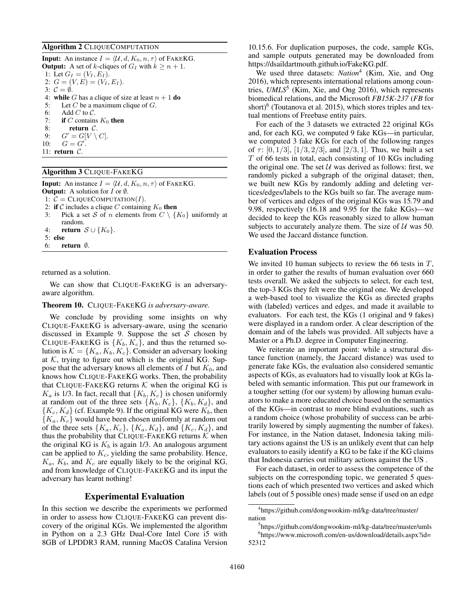### Algorithm 2 CLIQUECOMPUTATION

**Input:** An instance  $I = \langle U, d, K_0, n, \tau \rangle$  of FAKEKG. **Output:** A set of k-cliques of  $G_I$  with  $k \ge n + 1$ . 1: Let  $G_I = (V_I, E_I)$ . 2:  $G = (V, E) = (V_I, E_I).$ 3:  $\mathcal{C} = \emptyset$ . 4: while G has a clique of size at least  $n + 1$  do 5: Let  $C$  be a maximum clique of  $G$ . 6: Add C to  $C$ . 7: if C contains  $K_0$  then 8: **return** C.<br>9:  $G' = G[V \setminus$ 9:  $G' = G[V \setminus C].$ 10:  $G = G'$ . 11: return C.

### Algorithm 3 CLIQUE-FAKEKG

**Input:** An instance  $I = \langle U, d, K_0, n, \tau \rangle$  of FAKEKG. **Output:** A solution for  $I$  or  $\emptyset$ . 1:  $C = CLIQUECOMPUTATION(I)$ . 2: if C includes a clique C containing  $K_0$  then 3: Pick a set S of n elements from  $C \setminus \{K_0\}$  uniformly at random. 4: **return**  $S \cup \{K_0\}$ . 5: else 6: return ∅.

returned as a solution.

We can show that CLIQUE-FAKEKG is an adversaryaware algorithm.

#### Theorem 10. CLIQUE-FAKEKG *is adversary-aware.*

We conclude by providing some insights on why CLIQUE-FAKEKG is adversary-aware, using the scenario discussed in Example 9. Suppose the set  $S$  chosen by CLIQUE-FAKEKG is  $\{K_b, K_c\}$ , and thus the returned solution is  $K = \{K_a, K_b, K_c\}$ . Consider an adversary looking at  $K$ , trying to figure out which is the original KG. Suppose that the adversary knows all elements of  $I$  but  $K_0$ , and knows how CLIQUE-FAKEKG works. Then, the probability that CLIQUE-FAKEKG returns  $K$  when the original KG is  $K_a$  is 1/3. In fact, recall that  $\{K_b, K_c\}$  is chosen uniformly at random out of the three sets  $\{K_b, K_c\}$ ,  $\{K_b, K_d\}$ , and  ${K_c, K_d}$  (cf. Example 9). If the original KG were  $K_b$ , then  ${K_a, K_c}$  would have been chosen uniformly at random out of the three sets  $\{K_a, K_c\}$ ,  $\{K_a, K_d\}$ , and  $\{K_c, K_d\}$ , and thus the probability that CLIQUE-FAKEKG returns  $K$  when the original KG is  $K_b$  is again 1/3. An analogous argument can be applied to  $K_c$ , yielding the same probability. Hence,  $K_a$ ,  $K_b$ , and  $K_c$  are equally likely to be the original KG, and from knowledge of CLIQUE-FAKEKG and its input the adversary has learnt nothing!

# Experimental Evaluation

In this section we describe the experiments we performed in order to assess how CLIQUE-FAKEKG can prevent discovery of the original KGs. We implemented the algorithm in Python on a 2.3 GHz Dual-Core Intel Core i5 with 8GB of LPDDR3 RAM, running MacOS Catalina Version

10.15.6. For duplication purposes, the code, sample KGs, and sample outputs generated may be downloaded from https://dsaildartmouth.github.io/FakeKG.pdf.

We used three datasets: *Nation*<sup>4</sup> (Kim, Xie, and Ong 2016), which represents international relations among countries, *UMLS*<sup>5</sup> (Kim, Xie, and Ong 2016), which represents biomedical relations, and the Microsoft *FB15K-237* (*FB* for short)<sup>6</sup> (Toutanova et al. 2015), which stores triples and textual mentions of Freebase entity pairs.

For each of the 3 datasets we extracted 22 original KGs and, for each KG, we computed 9 fake KGs—in particular, we computed 3 fake KGs for each of the following ranges of  $\tau$ : [0, 1/3], [1/3, 2/3], and [2/3, 1]. Thus, we built a set  $T$  of 66 tests in total, each consisting of 10 KGs including the original one. The set  $U$  was derived as follows: first, we randomly picked a subgraph of the original dataset; then, we built new KGs by randomly adding and deleting vertices/edges/labels to the KGs built so far. The average number of vertices and edges of the original KGs was 15.79 and 9.98, respectively (16.18 and 9.95 for the fake KGs)—we decided to keep the KGs reasonably sized to allow human subjects to accurately analyze them. The size of  $U$  was 50. We used the Jaccard distance function.

### Evaluation Process

We invited 10 human subjects to review the 66 tests in  $T$ , in order to gather the results of human evaluation over 660 tests overall. We asked the subjects to select, for each test, the top-3 KGs they felt were the original one. We developed a web-based tool to visualize the KGs as directed graphs with (labeled) vertices and edges, and made it available to evaluators. For each test, the KGs (1 original and 9 fakes) were displayed in a random order. A clear description of the domain and of the labels was provided. All subjects have a Master or a Ph.D. degree in Computer Engineering.

We reiterate an important point: while a structural distance function (namely, the Jaccard distance) was used to generate fake KGs, the evaluation also considered semantic aspects of KGs, as evaluators had to visually look at KGs labeled with semantic information. This put our framework in a tougher setting (for our system) by allowing human evaluators to make a more educated choice based on the semantics of the KGs—in contrast to more blind evaluations, such as a random choice (whose probability of success can be arbitrarily lowered by simply augmenting the number of fakes). For instance, in the Nation dataset, Indonesia taking military actions against the US is an unlikely event that can help evaluators to easily identify a KG to be fake if the KG claims that Indonesia carries out military actions against the US .

For each dataset, in order to assess the competence of the subjects on the corresponding topic, we generated 5 questions each of which presented two vertices and asked which labels (out of 5 possible ones) made sense if used on an edge

<sup>4</sup> https://github.com/dongwookim-ml/kg-data/tree/master/ nation

<sup>5</sup> https://github.com/dongwookim-ml/kg-data/tree/master/umls 6 https://www.microsoft.com/en-us/download/details.aspx?id= 52312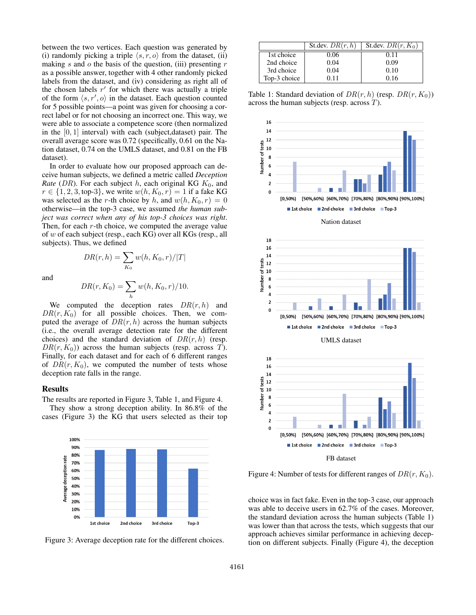between the two vertices. Each question was generated by (i) randomly picking a triple  $\langle s, r, o \rangle$  from the dataset, (ii) making  $s$  and  $o$  the basis of the question, (iii) presenting  $r$ as a possible answer, together with 4 other randomly picked labels from the dataset, and (iv) considering as right all of the chosen labels  $r'$  for which there was actually a triple of the form  $\langle s, r', o \rangle$  in the dataset. Each question counted for 5 possible points—a point was given for choosing a correct label or for not choosing an incorrect one. This way, we were able to associate a competence score (then normalized in the  $[0, 1]$  interval) with each (subject,dataset) pair. The overall average score was 0.72 (specifically, 0.61 on the Nation dataset, 0.74 on the UMLS dataset, and 0.81 on the FB dataset).

In order to evaluate how our proposed approach can deceive human subjects, we defined a metric called *Deception Rate* (DR). For each subject h, each original KG  $K_0$ , and  $r \in \{1, 2, 3,$  top-3, we write  $w(h, K_0, r) = 1$  if a fake KG was selected as the r-th choice by h, and  $w(h, K_0, r) = 0$ otherwise—in the top-3 case, we assumed *the human subject was correct when any of his top-3 choices was right*. Then, for each  $r$ -th choice, we computed the average value of w of each subject (resp., each KG) over all KGs (resp., all subjects). Thus, we defined

and

$$
DR(r, K_0) = \sum_h w(h, K_0, r) / 10.
$$

 $w(h, K_0, r)/|T|$ 

 $_{K_0}$ 

 $DR(r, h) = \sum$ 

We computed the deception rates  $DR(r, h)$  and  $DR(r, K_0)$  for all possible choices. Then, we computed the average of  $DR(r, h)$  across the human subjects (i.e., the overall average detection rate for the different choices) and the standard deviation of  $DR(r, h)$  (resp.  $DR(r, K_0)$  across the human subjects (resp. across T). Finally, for each dataset and for each of 6 different ranges of  $DR(r, K_0)$ , we computed the number of tests whose deception rate falls in the range.

### Results

The results are reported in Figure 3, Table 1, and Figure 4.

They show a strong deception ability. In 86.8% of the cases (Figure 3) the KG that users selected as their top





|              | St.dev. $DR(r, h)$ | St.dev. $DR(r, K_0)$ |
|--------------|--------------------|----------------------|
| 1st choice   | 0.06               | 0.11                 |
| 2nd choice   | 0.04               | 0.09                 |
| 3rd choice   | 0.04               | 0.10                 |
| Top-3 choice | O 11               | 0.16                 |

Table 1: Standard deviation of  $DR(r, h)$  (resp.  $DR(r, K_0)$ ) across the human subjects (resp. across T).



Figure 4: Number of tests for different ranges of  $DR(r, K_0)$ .

choice was in fact fake. Even in the top-3 case, our approach was able to deceive users in 62.7% of the cases. Moreover, the standard deviation across the human subjects (Table 1) was lower than that across the tests, which suggests that our approach achieves similar performance in achieving deception on different subjects. Finally (Figure 4), the deception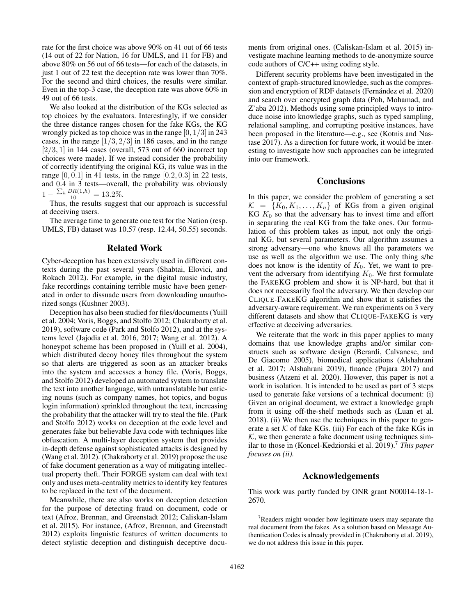rate for the first choice was above 90% on 41 out of 66 tests (14 out of 22 for Nation, 16 for UMLS, and 11 for FB) and above 80% on 56 out of 66 tests—for each of the datasets, in just 1 out of 22 test the deception rate was lower than 70%. For the second and third choices, the results were similar. Even in the top-3 case, the deception rate was above 60% in 49 out of 66 tests.

We also looked at the distribution of the KGs selected as top choices by the evaluators. Interestingly, if we consider the three distance ranges chosen for the fake KGs, the KG wrongly picked as top choice was in the range  $[0, 1/3]$  in 243 cases, in the range  $[1/3, 2/3]$  in 186 cases, and in the range  $[2/3, 1]$  in 144 cases (overall, 573 out of 660 incorrect top choices were made). If we instead consider the probability of correctly identifying the original KG, its value was in the range  $[0, 0.1]$  in 41 tests, in the range  $[0.2, 0.3]$  in 22 tests, and 0.4 in 3 tests—overall, the probability was obviously  $1 - \frac{\sum_h DR(1,h)}{10} = 13.2\%.$ 

Thus, the results suggest that our approach is successful at deceiving users.

The average time to generate one test for the Nation (resp. UMLS, FB) dataset was 10.57 (resp. 12.44, 50.55) seconds.

# Related Work

Cyber-deception has been extensively used in different contexts during the past several years (Shabtai, Elovici, and Rokach 2012). For example, in the digital music industry, fake recordings containing terrible music have been generated in order to dissuade users from downloading unauthorized songs (Kushner 2003).

Deception has also been studied for files/documents (Yuill et al. 2004; Voris, Boggs, and Stolfo 2012; Chakraborty et al. 2019), software code (Park and Stolfo 2012), and at the systems level (Jajodia et al. 2016, 2017; Wang et al. 2012). A honeypot scheme has been proposed in (Yuill et al. 2004), which distributed decoy honey files throughout the system so that alerts are triggered as soon as an attacker breaks into the system and accesses a honey file. (Voris, Boggs, and Stolfo 2012) developed an automated system to translate the text into another language, with untranslatable but enticing nouns (such as company names, hot topics, and bogus login information) sprinkled throughout the text, increasing the probability that the attacker will try to steal the file. (Park and Stolfo 2012) works on deception at the code level and generates fake but believable Java code with techniques like obfuscation. A multi-layer deception system that provides in-depth defense against sophisticated attacks is designed by (Wang et al. 2012). (Chakraborty et al. 2019) propose the use of fake document generation as a way of mitigating intellectual property theft. Their FORGE system can deal with text only and uses meta-centrality metrics to identify key features to be replaced in the text of the document.

Meanwhile, there are also works on deception detection for the purpose of detecting fraud on document, code or text (Afroz, Brennan, and Greenstadt 2012; Caliskan-Islam et al. 2015). For instance, (Afroz, Brennan, and Greenstadt 2012) exploits linguistic features of written documents to detect stylistic deception and distinguish deceptive documents from original ones. (Caliskan-Islam et al. 2015) investigate machine learning methods to de-anonymize source code authors of C/C++ using coding style.

Different security problems have been investigated in the context of graph-structured knowledge, such as the compression and encryption of RDF datasets (Fernández et al. 2020) and search over encrypted graph data (Poh, Mohamad, and Z'aba 2012). Methods using some principled ways to introduce noise into knowledge graphs, such as typed sampling, relational sampling, and corrupting positive instances, have been proposed in the literature—e.g., see (Kotnis and Nastase 2017). As a direction for future work, it would be interesting to investigate how such approaches can be integrated into our framework.

# **Conclusions**

In this paper, we consider the problem of generating a set  $\mathcal{K} = \{K_0, K_1, \ldots, K_n\}$  of KGs from a given original  $KG K<sub>0</sub>$  so that the adversary has to invest time and effort in separating the real KG from the fake ones. Our formulation of this problem takes as input, not only the original KG, but several parameters. Our algorithm assumes a strong adversary—one who knows all the parameters we use as well as the algorithm we use. The only thing s/he does not know is the identity of  $K_0$ . Yet, we want to prevent the adversary from identifying  $K_0$ . We first formulate the FAKEKG problem and show it is NP-hard, but that it does not necessarily fool the adversary. We then develop our CLIQUE-FAKEKG algorithm and show that it satisfies the adversary-aware requirement. We run experiments on 3 very different datasets and show that CLIQUE-FAKEKG is very effective at deceiving adversaries.

We reiterate that the work in this paper applies to many domains that use knowledge graphs and/or similar constructs such as software design (Berardi, Calvanese, and De Giacomo 2005), biomedical applications (Alshahrani et al. 2017; Alshahrani 2019), finance (Pujara 2017) and business (Atzeni et al. 2020). However, this paper is not a work in isolation. It is intended to be used as part of 3 steps used to generate fake versions of a technical document: (i) Given an original document, we extract a knowledge graph from it using off-the-shelf methods such as (Luan et al. 2018). (ii) We then use the techniques in this paper to generate a set  $K$  of fake KGs. (iii) For each of the fake KGs in  $K$ , we then generate a fake document using techniques similar to those in (Koncel-Kedziorski et al. 2019).<sup>7</sup> *This paper focuses on (ii).*

# Acknowledgements

This work was partly funded by ONR grant N00014-18-1- 2670.

 $7$ Readers might wonder how legitimate users may separate the real document from the fakes. As a solution based on Message Authentication Codes is already provided in (Chakraborty et al. 2019), we do not address this issue in this paper.